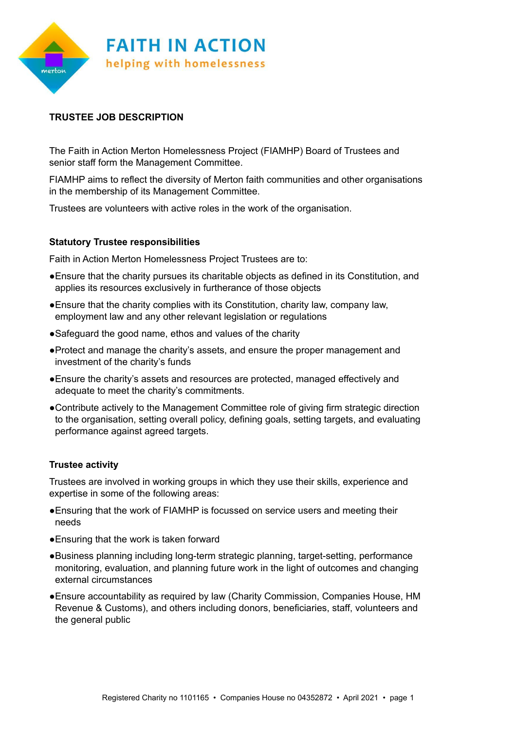

## **TRUSTEE JOB DESCRIPTION**

The Faith in Action Merton Homelessness Project (FIAMHP) Board of Trustees and senior staff form the Management Committee.

FIAMHP aims to reflect the diversity of Merton faith communities and other organisations in the membership of its Management Committee.

Trustees are volunteers with active roles in the work of the organisation.

## **Statutory Trustee responsibilities**

Faith in Action Merton Homelessness Project Trustees are to:

- ●Ensure that the charity pursues its charitable objects as defined in its Constitution, and applies its resources exclusively in furtherance of those objects
- ●Ensure that the charity complies with its Constitution, charity law, company law, employment law and any other relevant legislation or regulations
- ●Safeguard the good name, ethos and values of the charity
- ●Protect and manage the charity's assets, and ensure the proper management and investment of the charity's funds
- ●Ensure the charity's assets and resources are protected, managed effectively and adequate to meet the charity's commitments.
- ●Contribute actively to the Management Committee role of giving firm strategic direction to the organisation, setting overall policy, defining goals, setting targets, and evaluating performance against agreed targets.

## **Trustee activity**

Trustees are involved in working groups in which they use their skills, experience and expertise in some of the following areas:

- ●Ensuring that the work of FIAMHP is focussed on service users and meeting their needs
- ●Ensuring that the work is taken forward
- ●Business planning including long-term strategic planning, target-setting, performance monitoring, evaluation, and planning future work in the light of outcomes and changing external circumstances
- ●Ensure accountability as required by law (Charity Commission, Companies House, HM Revenue & Customs), and others including donors, beneficiaries, staff, volunteers and the general public